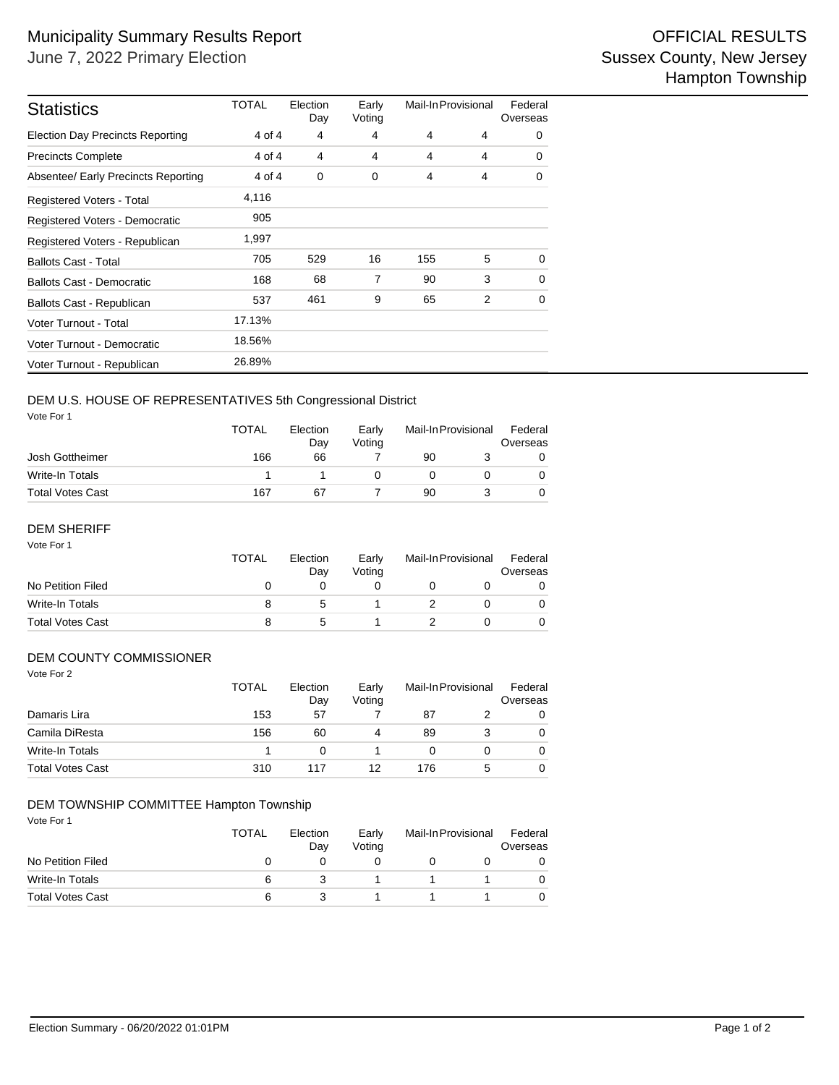| <b>Statistics</b>                       | TOTAL  | Election<br>Day | Early<br>Voting | Mail-In Provisional |   | Federal<br>Overseas |
|-----------------------------------------|--------|-----------------|-----------------|---------------------|---|---------------------|
| <b>Election Day Precincts Reporting</b> | 4 of 4 | 4               | 4               | 4                   | 4 | 0                   |
| <b>Precincts Complete</b>               | 4 of 4 | 4               | 4               | 4                   | 4 | 0                   |
| Absentee/ Early Precincts Reporting     | 4 of 4 | $\mathbf 0$     | 0               | 4                   | 4 | 0                   |
| <b>Registered Voters - Total</b>        | 4,116  |                 |                 |                     |   |                     |
| Registered Voters - Democratic          | 905    |                 |                 |                     |   |                     |
| Registered Voters - Republican          | 1,997  |                 |                 |                     |   |                     |
| <b>Ballots Cast - Total</b>             | 705    | 529             | 16              | 155                 | 5 | 0                   |
| <b>Ballots Cast - Democratic</b>        | 168    | 68              | 7               | 90                  | 3 | $\mathbf 0$         |
| Ballots Cast - Republican               | 537    | 461             | 9               | 65                  | 2 | 0                   |
| Voter Turnout - Total                   | 17.13% |                 |                 |                     |   |                     |
| Voter Turnout - Democratic              | 18.56% |                 |                 |                     |   |                     |
| Voter Turnout - Republican              | 26.89% |                 |                 |                     |   |                     |

## DEM U.S. HOUSE OF REPRESENTATIVES 5th Congressional District

Vote For 1

|                         | TOTAL | Election<br>Dav | Early<br>Votina |    | Mail-In Provisional |  |
|-------------------------|-------|-----------------|-----------------|----|---------------------|--|
| Josh Gottheimer         | 166   | 66              |                 | 90 |                     |  |
| Write-In Totals         |       |                 |                 |    |                     |  |
| <b>Total Votes Cast</b> | 167   | 67              |                 | 90 |                     |  |

#### Vote For 1 DEM SHERIFF

|                         | <b>TOTAL</b> | Election<br>Dav | Early<br>Votina | Mail-In Provisional |  | Federal<br>Overseas |  |
|-------------------------|--------------|-----------------|-----------------|---------------------|--|---------------------|--|
| No Petition Filed       |              |                 |                 |                     |  |                     |  |
| Write-In Totals         |              | :5              |                 |                     |  |                     |  |
| <b>Total Votes Cast</b> |              |                 |                 |                     |  |                     |  |

### DEM COUNTY COMMISSIONER

| Vote For 2              | <b>TOTAL</b> | Election | Early  | Mail-In Provisional |   | Federal  |
|-------------------------|--------------|----------|--------|---------------------|---|----------|
|                         |              | Day      | Voting |                     |   | Overseas |
| Damaris Lira            | 153          | 57       |        | 87                  |   | 0        |
| Camila DiResta          | 156          | 60       | 4      | 89                  | 3 | $\Omega$ |
| Write-In Totals         |              | 0        |        | 0                   | 0 | 0        |
| <b>Total Votes Cast</b> | 310          | 117      | 12     | 176                 | 5 | $\Omega$ |

### DEM TOWNSHIP COMMITTEE Hampton Township

Vote For 1

|                         | TOTAL<br>Election<br>Day |  | Early<br>Votina | Mail-In Provisional |  | Federal<br>Overseas |  |
|-------------------------|--------------------------|--|-----------------|---------------------|--|---------------------|--|
| No Petition Filed       |                          |  |                 |                     |  |                     |  |
| Write-In Totals         |                          |  |                 |                     |  |                     |  |
| <b>Total Votes Cast</b> |                          |  |                 |                     |  |                     |  |